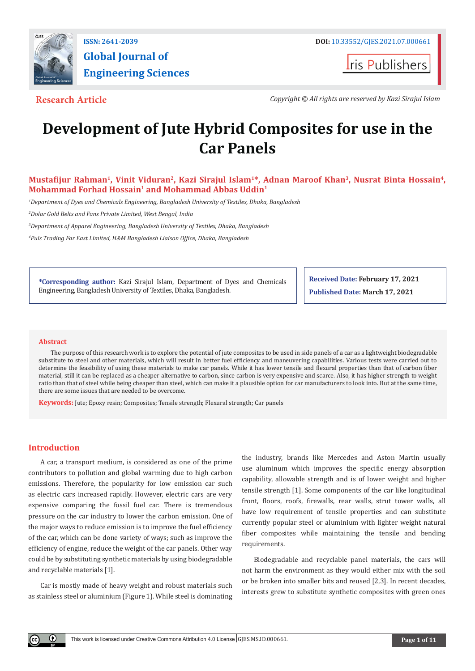

**Global Journal of Engineering Sciences**

**I**ris Publishers

**Research Article** *Copyright © All rights are reserved by Kazi Sirajul Islam*

# **Development of Jute Hybrid Composites for use in the Car Panels**

# **Mustafijur Rahman1, Vinit Viduran2, Kazi Sirajul Islam1\*, Adnan Maroof Khan3, Nusrat Binta Hossain4,**  Mohammad Forhad Hossain<sup>1</sup> and Mohammad Abbas Uddin<sup>1</sup>

*1 Department of Dyes and Chemicals Engineering, Bangladesh University of Textiles, Dhaka, Bangladesh*

*2 Dolar Gold Belts and Fans Private Limited, West Bengal, India*

*3 Department of Apparel Engineering, Bangladesh University of Textiles, Dhaka, Bangladesh*

*4 Puls Trading Far East Limited, H&M Bangladesh Liaison Office, Dhaka, Bangladesh*

**\*Corresponding author:** Kazi Sirajul Islam, Department of Dyes and Chemicals Engineering, Bangladesh University of Textiles, Dhaka, Bangladesh.

**Received Date: February 17, 2021 Published Date: March 17, 2021**

#### **Abstract**

The purpose of this research work is to explore the potential of jute composites to be used in side panels of a car as a lightweight biodegradable substitute to steel and other materials, which will result in better fuel efficiency and maneuvering capabilities. Various tests were carried out to determine the feasibility of using these materials to make car panels. While it has lower tensile and flexural properties than that of carbon fiber material, still it can be replaced as a cheaper alternative to carbon, since carbon is very expensive and scarce. Also, it has higher strength to weight ratio than that of steel while being cheaper than steel, which can make it a plausible option for car manufacturers to look into. But at the same time, there are some issues that are needed to be overcome.

**Keywords:** Jute; Epoxy resin; Composites; Tensile strength; Flexural strength; Car panels

#### **Introduction**

Œ

A car, a transport medium, is considered as one of the prime contributors to pollution and global warming due to high carbon emissions. Therefore, the popularity for low emission car such as electric cars increased rapidly. However, electric cars are very expensive comparing the fossil fuel car. There is tremendous pressure on the car industry to lower the carbon emission. One of the major ways to reduce emission is to improve the fuel efficiency of the car, which can be done variety of ways; such as improve the efficiency of engine, reduce the weight of the car panels. Other way could be by substituting synthetic materials by using biodegradable and recyclable materials [1].

Car is mostly made of heavy weight and robust materials such as stainless steel or aluminium (Figure 1). While steel is dominating

the industry, brands like Mercedes and Aston Martin usually use aluminum which improves the specific energy absorption capability, allowable strength and is of lower weight and higher tensile strength [1]. Some components of the car like longitudinal front, floors, roofs, firewalls, rear walls, strut tower walls, all have low requirement of tensile properties and can substitute currently popular steel or aluminium with lighter weight natural fiber composites while maintaining the tensile and bending requirements.

Biodegradable and recyclable panel materials, the cars will not harm the environment as they would either mix with the soil or be broken into smaller bits and reused [2,3]. In recent decades, interests grew to substitute synthetic composites with green ones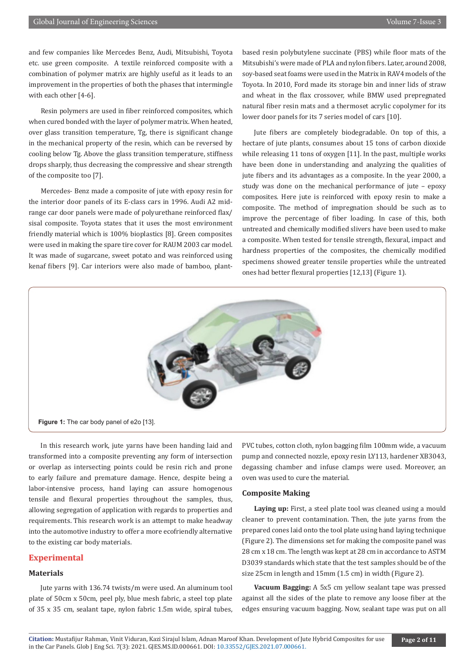and few companies like Mercedes Benz, Audi, Mitsubishi, Toyota etc. use green composite. A textile reinforced composite with a combination of polymer matrix are highly useful as it leads to an improvement in the properties of both the phases that intermingle with each other [4-6].

Resin polymers are used in fiber reinforced composites, which when cured bonded with the layer of polymer matrix. When heated, over glass transition temperature, Tg, there is significant change in the mechanical property of the resin, which can be reversed by cooling below Tg. Above the glass transition temperature, stiffness drops sharply, thus decreasing the compressive and shear strength of the composite too [7].

Mercedes- Benz made a composite of jute with epoxy resin for the interior door panels of its E-class cars in 1996. Audi A2 midrange car door panels were made of polyurethane reinforced flax/ sisal composite. Toyota states that it uses the most environment friendly material which is 100% bioplastics [8]. Green composites were used in making the spare tire cover for RAUM 2003 car model. It was made of sugarcane, sweet potato and was reinforced using kenaf fibers [9]. Car interiors were also made of bamboo, plantbased resin polybutylene succinate (PBS) while floor mats of the Mitsubishi's were made of PLA and nylon fibers. Later, around 2008, soy-based seat foams were used in the Matrix in RAV4 models of the Toyota. In 2010, Ford made its storage bin and inner lids of straw and wheat in the flax crossover, while BMW used prepregnated natural fiber resin mats and a thermoset acrylic copolymer for its lower door panels for its 7 series model of cars [10].

Jute fibers are completely biodegradable. On top of this, a hectare of jute plants, consumes about 15 tons of carbon dioxide while releasing 11 tons of oxygen [11]. In the past, multiple works have been done in understanding and analyzing the qualities of jute fibers and its advantages as a composite. In the year 2000, a study was done on the mechanical performance of jute – epoxy composites. Here jute is reinforced with epoxy resin to make a composite. The method of impregnation should be such as to improve the percentage of fiber loading. In case of this, both untreated and chemically modified slivers have been used to make a composite. When tested for tensile strength, flexural, impact and hardness properties of the composites, the chemically modified specimens showed greater tensile properties while the untreated ones had better flexural properties [12,13] (Figure 1).



In this research work, jute yarns have been handing laid and transformed into a composite preventing any form of intersection or overlap as intersecting points could be resin rich and prone to early failure and premature damage. Hence, despite being a labor-intensive process, hand laying can assure homogenous tensile and flexural properties throughout the samples, thus, allowing segregation of application with regards to properties and requirements. This research work is an attempt to make headway into the automotive industry to offer a more ecofriendly alternative to the existing car body materials.

#### **Experimental**

### **Materials**

Jute yarns with 136.74 twists/m were used. An aluminum tool plate of 50cm x 50cm, peel ply, blue mesh fabric, a steel top plate of 35 x 35 cm, sealant tape, nylon fabric 1.5m wide, spiral tubes,

PVC tubes, cotton cloth, nylon bagging film 100mm wide, a vacuum pump and connected nozzle, epoxy resin LY113, hardener XB3043, degassing chamber and infuse clamps were used. Moreover, an oven was used to cure the material.

#### **Composite Making**

**Laying up:** First, a steel plate tool was cleaned using a mould cleaner to prevent contamination. Then, the jute yarns from the prepared cones laid onto the tool plate using hand laying technique (Figure 2). The dimensions set for making the composite panel was 28 cm x 18 cm. The length was kept at 28 cm in accordance to ASTM D3039 standards which state that the test samples should be of the size 25cm in length and 15mm (1.5 cm) in width (Figure 2).

**Vacuum Bagging:** A 5x5 cm yellow sealant tape was pressed against all the sides of the plate to remove any loose fiber at the edges ensuring vacuum bagging. Now, sealant tape was put on all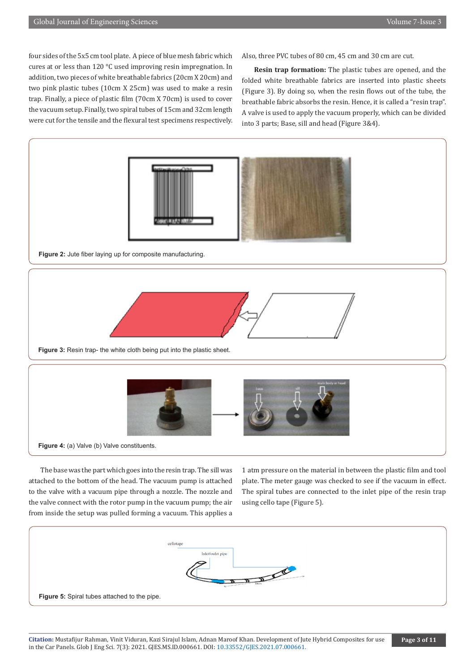four sides of the 5x5 cm tool plate. A piece of blue mesh fabric which cures at or less than 120 °C used improving resin impregnation. In addition, two pieces of white breathable fabrics (20cm X 20cm) and two pink plastic tubes (10cm X 25cm) was used to make a resin trap. Finally, a piece of plastic film (70cm X 70cm) is used to cover the vacuum setup. Finally, two spiral tubes of 15cm and 32cm length were cut for the tensile and the flexural test specimens respectively.

Also, three PVC tubes of 80 cm, 45 cm and 30 cm are cut.

**Resin trap formation:** The plastic tubes are opened, and the folded white breathable fabrics are inserted into plastic sheets (Figure 3). By doing so, when the resin flows out of the tube, the breathable fabric absorbs the resin. Hence, it is called a "resin trap". A valve is used to apply the vacuum properly, which can be divided into 3 parts; Base, sill and head (Figure 3&4).



attached to the bottom of the head. The vacuum pump is attached to the valve with a vacuum pipe through a nozzle. The nozzle and the valve connect with the rotor pump in the vacuum pump; the air from inside the setup was pulled forming a vacuum. This applies a plate. The meter gauge was checked to see if the vacuum in effect. The spiral tubes are connected to the inlet pipe of the resin trap using cello tape (Figure 5).

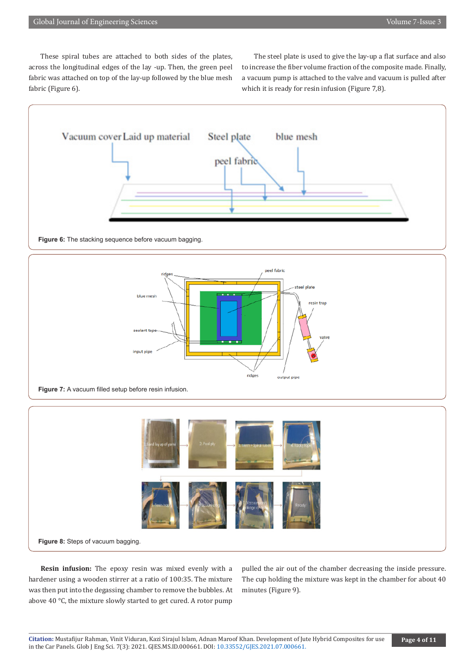These spiral tubes are attached to both sides of the plates, across the longitudinal edges of the lay -up. Then, the green peel fabric was attached on top of the lay-up followed by the blue mesh fabric (Figure 6).

The steel plate is used to give the lay-up a flat surface and also to increase the fiber volume fraction of the composite made. Finally, a vacuum pump is attached to the valve and vacuum is pulled after which it is ready for resin infusion (Figure 7,8).



#### **Figure 6:** The stacking sequence before vacuum bagging.



**Figure 7:** A vacuum filled setup before resin infusion.



**Resin infusion:** The epoxy resin was mixed evenly with a hardener using a wooden stirrer at a ratio of 100:35. The mixture was then put into the degassing chamber to remove the bubbles. At above 40 °C, the mixture slowly started to get cured. A rotor pump

pulled the air out of the chamber decreasing the inside pressure. The cup holding the mixture was kept in the chamber for about 40 minutes (Figure 9).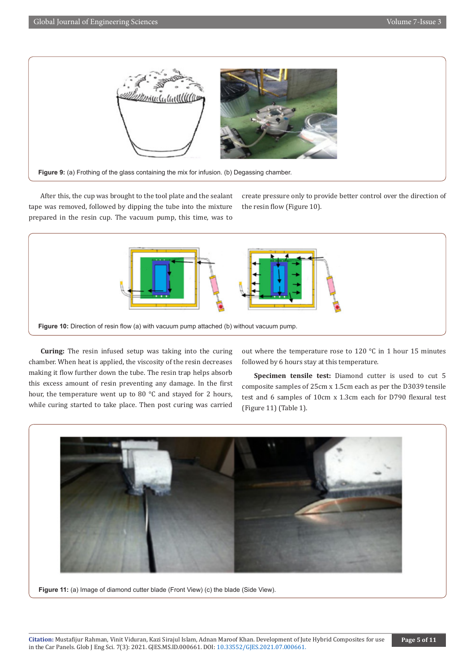

After this, the cup was brought to the tool plate and the sealant tape was removed, followed by dipping the tube into the mixture prepared in the resin cup. The vacuum pump, this time, was to

create pressure only to provide better control over the direction of the resin flow (Figure 10).



**Curing:** The resin infused setup was taking into the curing chamber. When heat is applied, the viscosity of the resin decreases making it flow further down the tube. The resin trap helps absorb this excess amount of resin preventing any damage. In the first hour, the temperature went up to 80 °C and stayed for 2 hours, while curing started to take place. Then post curing was carried out where the temperature rose to 120 °C in 1 hour 15 minutes followed by 6 hours stay at this temperature.

**Specimen tensile test:** Diamond cutter is used to cut 5 composite samples of 25cm x 1.5cm each as per the D3039 tensile test and 6 samples of 10cm x 1.3cm each for D790 flexural test (Figure 11) (Table 1).



Figure 11: (a) Image of diamond cutter blade (Front View) (c) the blade (Side View).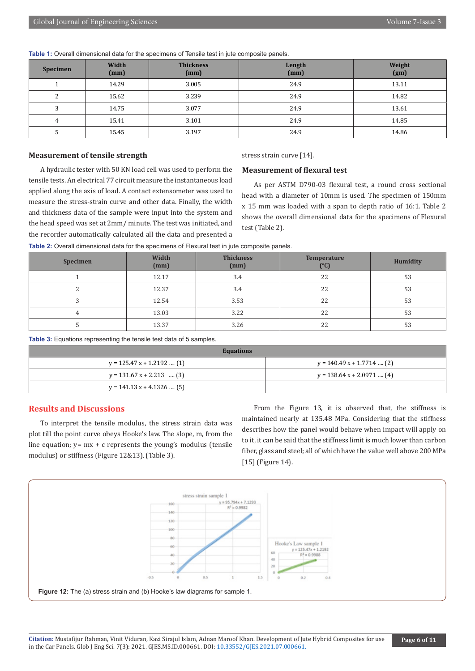| Specimen | Width<br>(mm) | <b>Thickness</b><br>(mm) | Length<br>(mm) | Weight<br>(gm) |
|----------|---------------|--------------------------|----------------|----------------|
|          | 14.29         | 3.005                    | 24.9           | 13.11          |
| ົ        | 15.62         | 3.239                    | 24.9           | 14.82          |
| ົ        | 14.75         | 3.077                    | 24.9           | 13.61          |
|          | 15.41         | 3.101                    | 24.9           | 14.85          |
|          | 15.45         | 3.197                    | 24.9           | 14.86          |

**Table 1:** Overall dimensional data for the specimens of Tensile test in jute composite panels.

#### **Measurement of tensile strength**

stress strain curve [14].

# A hydraulic tester with 50 KN load cell was used to perform the tensile tests. An electrical 77 circuit measure the instantaneous load applied along the axis of load. A contact extensometer was used to measure the stress-strain curve and other data. Finally, the width and thickness data of the sample were input into the system and the head speed was set at 2mm/ minute. The test was initiated, and the recorder automatically calculated all the data and presented a

# **Measurement of flexural test**

As per ASTM D790-03 flexural test, a round cross sectional head with a diameter of 10mm is used. The specimen of 150mm x 15 mm was loaded with a span to depth ratio of 16:1. Table 2 shows the overall dimensional data for the specimens of Flexural test (Table 2).

| Table 2: Overall dimensional data for the specimens of Flexural test in jute composite panels. |  |
|------------------------------------------------------------------------------------------------|--|
|------------------------------------------------------------------------------------------------|--|

| Specimen | Width<br>(mm) | <b>Thickness</b><br>(mm) | <b>Temperature</b><br>(°C) | Humidity |
|----------|---------------|--------------------------|----------------------------|----------|
|          | 12.17         | 3.4                      | 22                         | 53       |
|          | 12.37         | 3.4                      | 22                         | 53       |
|          | 12.54         | 3.53                     | 22                         | 53       |
|          | 13.03         | 3.22                     | 22                         | 53       |
|          | 13.37         | 3.26                     | 22                         | 53       |

**Table 3:** Equations representing the tensile test data of 5 samples.

| <b>Equations</b>            |                              |  |  |  |  |
|-----------------------------|------------------------------|--|--|--|--|
| $y = 125.47 x + 1.2192$ (1) | $v = 140.49 x + 1.7714$ (2)  |  |  |  |  |
| $y = 131.67 x + 2.213$ (3)  | $y = 138.64 x + 2.0971  (4)$ |  |  |  |  |
| $y = 141.13 x + 4.1326$ (5) |                              |  |  |  |  |

### **Results and Discussions**

To interpret the tensile modulus, the stress strain data was plot till the point curve obeys Hooke's law. The slope, m, from the line equation;  $y= mx + c$  represents the young's modulus (tensile modulus) or stiffness (Figure 12&13). (Table 3).

From the Figure 13, it is observed that, the stiffness is maintained nearly at 135.48 MPa. Considering that the stiffness describes how the panel would behave when impact will apply on to it, it can be said that the stiffness limit is much lower than carbon fiber, glass and steel; all of which have the value well above 200 MPa [15] (Figure 14).

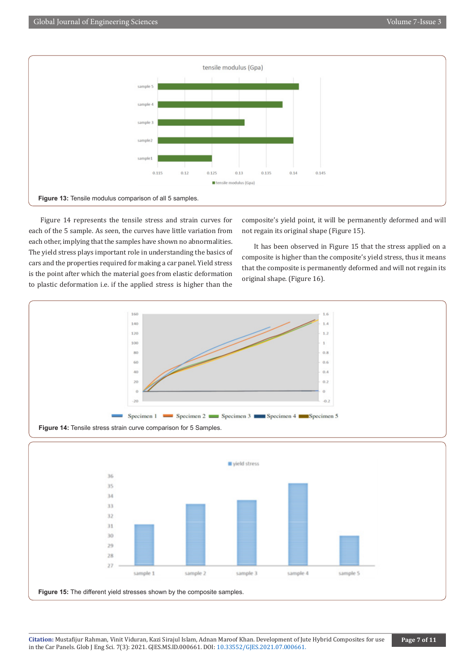

Figure 14 represents the tensile stress and strain curves for each of the 5 sample. As seen, the curves have little variation from each other, implying that the samples have shown no abnormalities. The yield stress plays important role in understanding the basics of cars and the properties required for making a car panel. Yield stress is the point after which the material goes from elastic deformation to plastic deformation i.e. if the applied stress is higher than the

composite's yield point, it will be permanently deformed and will not regain its original shape (Figure 15).

It has been observed in Figure 15 that the stress applied on a composite is higher than the composite's yield stress, thus it means that the composite is permanently deformed and will not regain its original shape. (Figure 16).



**Figure 15:** The different yield stresses shown by the composite samples.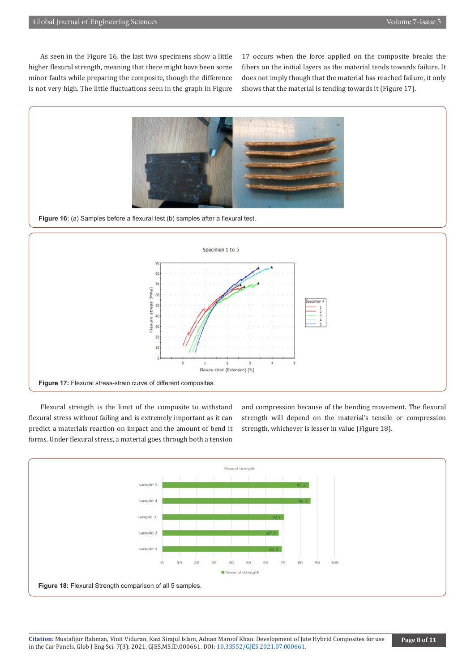As seen in the Figure 16, the last two specimens show a little higher flexural strength, meaning that there might have been some minor faults while preparing the composite, though the difference is not very high. The little fluctuations seen in the graph in Figure

17 occurs when the force applied on the composite breaks the fibers on the initial layers as the material tends towards failure. It does not imply though that the material has reached failure, it only shows that the material is tending towards it (Figure 17).



**Figure 16:** (a) Samples before a flexural test (b) samples after a flexural test.



Flexural strength is the limit of the composite to withstand flexural stress without failing and is extremely important as it can predict a materials reaction on impact and the amount of bend it forms. Under flexural stress, a material goes through both a tension

and compression because of the bending movement. The flexural strength will depend on the material's tensile or compression strength, whichever is lesser in value (Figure 18).

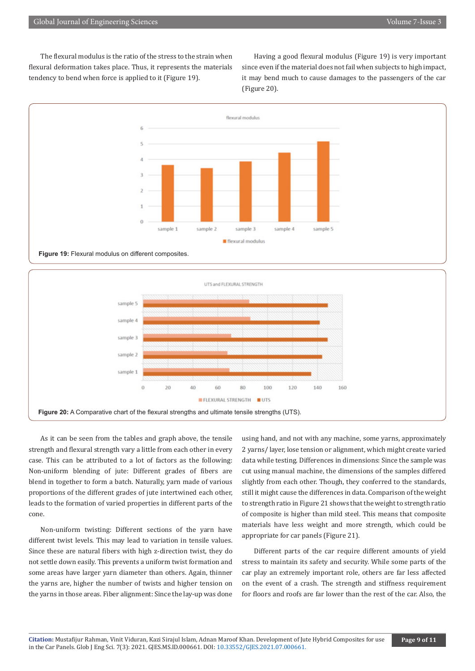The flexural modulus is the ratio of the stress to the strain when flexural deformation takes place. Thus, it represents the materials tendency to bend when force is applied to it (Figure 19).

Having a good flexural modulus (Figure 19) is very important since even if the material does not fail when subjects to high impact, it may bend much to cause damages to the passengers of the car (Figure 20).



As it can be seen from the tables and graph above, the tensile strength and flexural strength vary a little from each other in every case. This can be attributed to a lot of factors as the following: Non-uniform blending of jute: Different grades of fibers are blend in together to form a batch. Naturally, yarn made of various proportions of the different grades of jute intertwined each other, leads to the formation of varied properties in different parts of the cone.

sample 4

sample

sample 2

sample 1

 $\overline{0}$ 

**Figure 20:** A Comparative chart of the flexural strengths and ultimate tensile strengths (UTS).

 $\overline{20}$ 

40

60

**FLEXURAL STRENGTH** 

80

100

**BUTS** 

120

140

Non-uniform twisting: Different sections of the yarn have different twist levels. This may lead to variation in tensile values. Since these are natural fibers with high z-direction twist, they do not settle down easily. This prevents a uniform twist formation and some areas have larger yarn diameter than others. Again, thinner the yarns are, higher the number of twists and higher tension on the yarns in those areas. Fiber alignment: Since the lay-up was done

using hand, and not with any machine, some yarns, approximately 2 yarns/ layer, lose tension or alignment, which might create varied data while testing. Differences in dimensions: Since the sample was cut using manual machine, the dimensions of the samples differed slightly from each other. Though, they conferred to the standards, still it might cause the differences in data. Comparison of the weight to strength ratio in Figure 21 shows that the weight to strength ratio of composite is higher than mild steel. This means that composite materials have less weight and more strength, which could be appropriate for car panels (Figure 21).

160

Different parts of the car require different amounts of yield stress to maintain its safety and security. While some parts of the car play an extremely important role, others are far less affected on the event of a crash. The strength and stiffness requirement for floors and roofs are far lower than the rest of the car. Also, the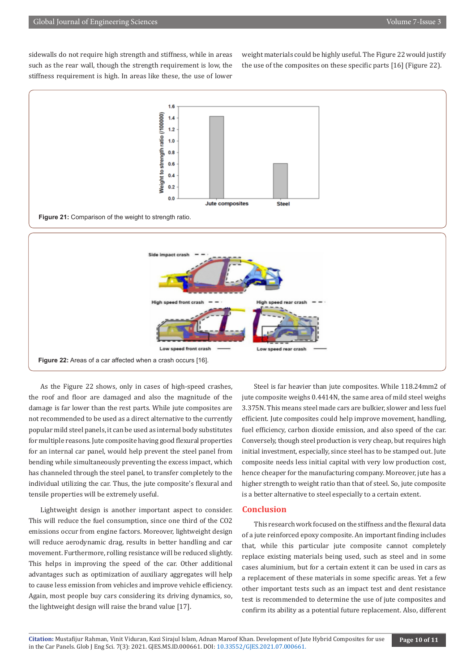sidewalls do not require high strength and stiffness, while in areas such as the rear wall, though the strength requirement is low, the stiffness requirement is high. In areas like these, the use of lower

weight materials could be highly useful. The Figure 22 would justify the use of the composites on these specific parts [16] (Figure 22).



As the Figure 22 shows, only in cases of high-speed crashes, the roof and floor are damaged and also the magnitude of the damage is far lower than the rest parts. While jute composites are not recommended to be used as a direct alternative to the currently popular mild steel panels, it can be used as internal body substitutes for multiple reasons. Jute composite having good flexural properties for an internal car panel, would help prevent the steel panel from bending while simultaneously preventing the excess impact, which has channeled through the steel panel, to transfer completely to the individual utilizing the car. Thus, the jute composite's flexural and tensile properties will be extremely useful.

Lightweight design is another important aspect to consider. This will reduce the fuel consumption, since one third of the CO2 emissions occur from engine factors. Moreover, lightweight design will reduce aerodynamic drag, results in better handling and car movement. Furthermore, rolling resistance will be reduced slightly. This helps in improving the speed of the car. Other additional advantages such as optimization of auxiliary aggregates will help to cause less emission from vehicles and improve vehicle efficiency. Again, most people buy cars considering its driving dynamics, so, the lightweight design will raise the brand value [17].

Steel is far heavier than jute composites. While 118.24mm2 of jute composite weighs 0.4414N, the same area of mild steel weighs 3.375N. This means steel made cars are bulkier, slower and less fuel efficient. Jute composites could help improve movement, handling, fuel efficiency, carbon dioxide emission, and also speed of the car. Conversely, though steel production is very cheap, but requires high initial investment, especially, since steel has to be stamped out. Jute composite needs less initial capital with very low production cost, hence cheaper for the manufacturing company. Moreover, jute has a higher strength to weight ratio than that of steel. So, jute composite is a better alternative to steel especially to a certain extent.

# **Conclusion**

This research work focused on the stiffness and the flexural data of a jute reinforced epoxy composite. An important finding includes that, while this particular jute composite cannot completely replace existing materials being used, such as steel and in some cases aluminium, but for a certain extent it can be used in cars as a replacement of these materials in some specific areas. Yet a few other important tests such as an impact test and dent resistance test is recommended to determine the use of jute composites and confirm its ability as a potential future replacement. Also, different